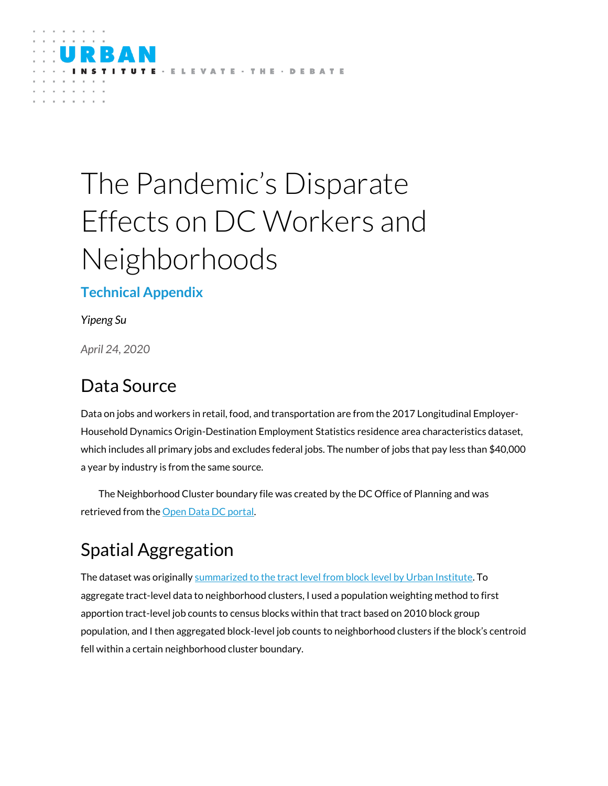

# The Pandemic's Disparate Effects on DC Workers and Neighborhoods

#### **Technical Appendix**

*Yipeng Su*

*April 24, 2020*

### Data Source

Data on jobs and workers in retail, food, and transportation are from the 2017 Longitudinal Employer-Household Dynamics Origin-Destination Employment Statistics residence area characteristics dataset, which includes all primary jobs and excludes federal jobs. The number of jobs that pay less than \$40,000 a year by industry is from the same source.

The Neighborhood Cluster boundary file was created by the DC Office of Planning and was retrieved from the [Open Data DC portal.](https://opendata.dc.gov/datasets/f6c703ebe2534fc3800609a07bad8f5b_17)

## Spatial Aggregation

The dataset was originally summarized to the tract level [from block level by Urban Institute.](https://datacatalog.urban.org/dataset/longitudinal-employer-household-dynamics-origin-destination-employment-statistics-lodes) To aggregate tract-level data to neighborhood clusters, I used a population weighting method to first apportion tract-level job counts to census blocks within that tract based on 2010 block group population, and I then aggregated block-level job counts to neighborhood clusters if the block's centroid fell within a certain neighborhood cluster boundary.